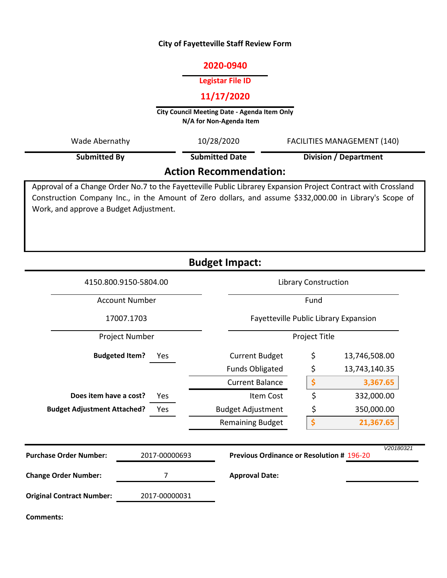#### **City of Fayetteville Staff Review Form**

# **2020-0940**

#### **Legistar File ID**

# **11/17/2020**

**City Council Meeting Date - Agenda Item Only N/A for Non-Agenda Item** 

| Wade Abernathy                | 10/28/2020            | <b>FACILITIES MANAGEMENT (140)</b> |  |  |  |
|-------------------------------|-----------------------|------------------------------------|--|--|--|
| <b>Submitted By</b>           | <b>Submitted Date</b> | Division / Department              |  |  |  |
| <b>Action Recommendation:</b> |                       |                                    |  |  |  |

Approval of a Change Order No.7 to the Fayetteville Public Librarey Expansion Project Contract with Crossland Construction Company Inc., in the Amount of Zero dollars, and assume \$332,000.00 in Library's Scope of Work, and approve a Budget Adjustment.

|                                    |                                                                                | <b>Budget Impact:</b>    |                                       |               |  |
|------------------------------------|--------------------------------------------------------------------------------|--------------------------|---------------------------------------|---------------|--|
|                                    | 4150.800.9150-5804.00                                                          |                          | <b>Library Construction</b>           |               |  |
| <b>Account Number</b>              |                                                                                |                          | Fund                                  |               |  |
| 17007.1703                         |                                                                                |                          | Fayetteville Public Library Expansion |               |  |
| Project Number                     |                                                                                |                          | Project Title                         |               |  |
|                                    | <b>Budgeted Item?</b><br>Yes.                                                  | <b>Current Budget</b>    | \$                                    | 13,746,508.00 |  |
|                                    |                                                                                | <b>Funds Obligated</b>   | \$                                    | 13,743,140.35 |  |
|                                    |                                                                                | <b>Current Balance</b>   | \$                                    | 3,367.65      |  |
| Does item have a cost?             | Yes                                                                            | Item Cost                | \$                                    | 332,000.00    |  |
| <b>Budget Adjustment Attached?</b> | Yes                                                                            | <b>Budget Adjustment</b> | \$                                    | 350,000.00    |  |
|                                    |                                                                                | <b>Remaining Budget</b>  | \$                                    | 21,367.65     |  |
| <b>Purchase Order Number:</b>      | V20180321<br><b>Previous Ordinance or Resolution # 196-20</b><br>2017-00000693 |                          |                                       |               |  |
| <b>Change Order Number:</b>        | 7                                                                              | <b>Approval Date:</b>    |                                       |               |  |
| <b>Original Contract Number:</b>   | 2017-00000031                                                                  |                          |                                       |               |  |
| <b>Comments:</b>                   |                                                                                |                          |                                       |               |  |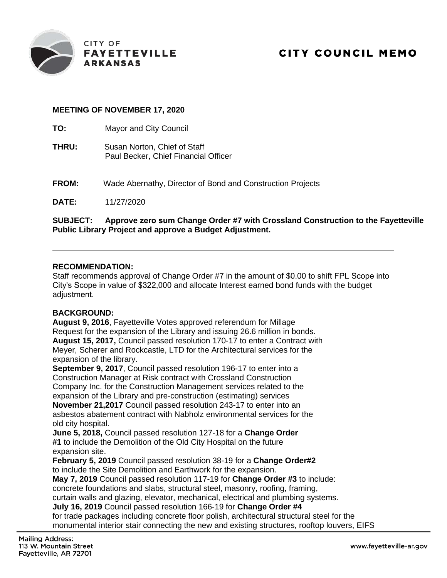

# **MEETING OF NOVEMBER 17, 2020**

**TO:** Mayor and City Council

- **THRU:** Susan Norton, Chief of Staff Paul Becker, Chief Financial Officer
- **FROM:** Wade Abernathy, Director of Bond and Construction Projects

**DATE:** 11/27/2020

#### **SUBJECT: Approve zero sum Change Order #7 with Crossland Construction to the Fayetteville Public Library Project and approve a Budget Adjustment.**

#### **RECOMMENDATION:**

Staff recommends approval of Change Order #7 in the amount of \$0.00 to shift FPL Scope into City's Scope in value of \$322,000 and allocate Interest earned bond funds with the budget adiustment.

#### **BACKGROUND:**

**August 9, 2016**, Fayetteville Votes approved referendum for Millage Request for the expansion of the Library and issuing 26.6 million in bonds. **August 15, 2017,** Council passed resolution 170-17 to enter a Contract with Meyer, Scherer and Rockcastle, LTD for the Architectural services for the expansion of the library.

**September 9, 2017**, Council passed resolution 196-17 to enter into a Construction Manager at Risk contract with Crossland Construction Company Inc. for the Construction Management services related to the expansion of the Library and pre-construction (estimating) services **November 21,2017** Council passed resolution 243-17 to enter into an asbestos abatement contract with Nabholz environmental services for the old city hospital.

**June 5, 2018,** Council passed resolution 127-18 for a **Change Order #1** to include the Demolition of the Old City Hospital on the future expansion site.

**February 5, 2019** Council passed resolution 38-19 for a **Change Order#2**  to include the Site Demolition and Earthwork for the expansion.

**May 7, 2019** Council passed resolution 117-19 for **Change Order #3** to include:

concrete foundations and slabs, structural steel, masonry, roofing, framing,

curtain walls and glazing, elevator, mechanical, electrical and plumbing systems.

**July 16, 2019** Council passed resolution 166-19 for **Change Order #4** 

for trade packages including concrete floor polish, architectural structural steel for the monumental interior stair connecting the new and existing structures, rooftop louvers, EIFS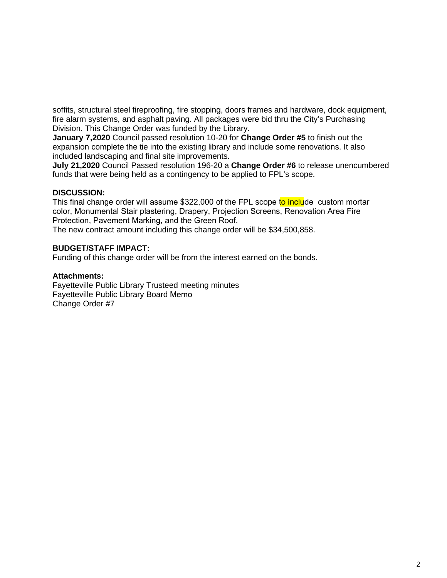soffits, structural steel fireproofing, fire stopping, doors frames and hardware, dock equipment, fire alarm systems, and asphalt paving. All packages were bid thru the City's Purchasing Division. This Change Order was funded by the Library.

**January 7,2020** Council passed resolution 10-20 for **Change Order #5** to finish out the expansion complete the tie into the existing library and include some renovations. It also included landscaping and final site improvements.

**July 21,2020** Council Passed resolution 196-20 a **Change Order #6** to release unencumbered funds that were being held as a contingency to be applied to FPL's scope.

#### **DISCUSSION:**

This final change order will assume \$322,000 of the FPL scope to include custom mortar color, Monumental Stair plastering, Drapery, Projection Screens, Renovation Area Fire Protection, Pavement Marking, and the Green Roof.

The new contract amount including this change order will be \$34,500,858.

#### **BUDGET/STAFF IMPACT:**

Funding of this change order will be from the interest earned on the bonds.

#### **Attachments:**

Fayetteville Public Library Trusteed meeting minutes Fayetteville Public Library Board Memo Change Order #7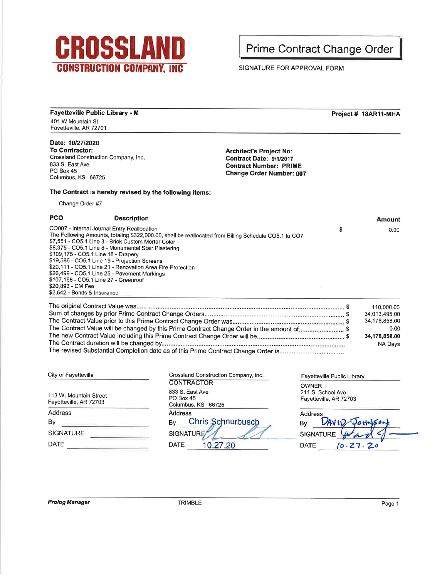

**Prime Contract Change Order** 

SIGNATURE FOR APPROVAL FORM

**Fayetteville Public Library - M** Project # 18AR11-MHA 401 W Mountain St Fayetteville, AR 72701 Date: 10/27/2020 To Contractor: **Architect's Project No:** Crossland Construction Company, Inc. Contract Date: 9/1/2017 833 S. East Ave **Contract Number: PRIME** PO Box 45 Change Order Number: 007 Columbus, KS 66725 The Contract is hereby revised by the following items: Change Order #7 **PCO Description Amount** CO007 - Internal Journal Entry Reallocation \$  $0.00$ The Following Amounts, totaling \$322,000.00, shall be reallocated from Billing Schedule CO5.1 to CO7 \$7,551 - CO5.1 Line 3 - Brick Custom Mortar Color \$8,375 - CO5.1 Line 8 - Monumental Stair Plastering \$109,175 - CO5.1 Line 18 - Drapery \$19,586 - CO5.1 Line 19 - Projection Screens \$20,111 - CO5.1 Line 21 - Renovation Area Fire Protection \$26,499 - CO5.1 Line 25 - Pavement Markings \$107,168 - CO5.1 Line 27 - Greenroof \$20,893 - CM Fee \$2,642 - Bonds & Insurance 110,000.00 34,013,495.00 34,178,858.00 The Contract Value will be changed by this Prime Contract Change Order in the amount of.............................\$ 0.00 34,178,858.00 NA Days Crossland Construction Company, Inc. City of Fayetteville Fayetteville Public Library **CONTRACTOR OWNER** 833 S. East Ave 211 S. School Ave 113 W. Mountain Street PO Box 45 Fayetteville, AR 72703 Fayetteville, AR 72703 Columbus, KS 66725 **Address Address** Address **Chris Schnurbusch**  $By -$ *VANW* By By SIGNATURE **SIGNATURE SIGNATURE DATE** 10.27.20 **DATE** DATE  $10.27.20$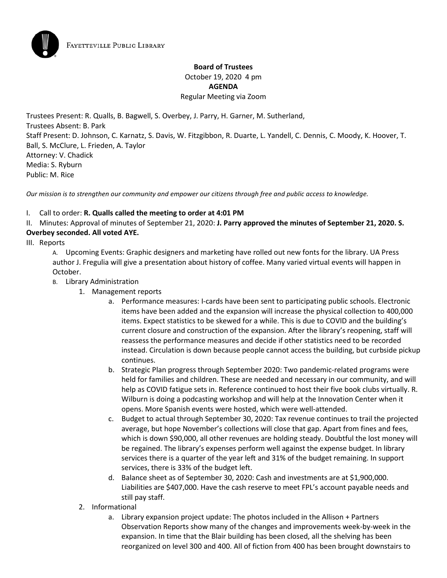# **Board of Trustees** October 19, 2020 4 pm **AGENDA** Regular Meeting via Zoom

Trustees Present: R. Qualls, B. Bagwell, S. Overbey, J. Parry, H. Garner, M. Sutherland, Trustees Absent: B. Park Staff Present: D. Johnson, C. Karnatz, S. Davis, W. Fitzgibbon, R. Duarte, L. Yandell, C. Dennis, C. Moody, K. Hoover, T. Ball, S. McClure, L. Frieden, A. Taylor Attorney: V. Chadick Media: S. Ryburn Public: M. Rice

*Our mission is to strengthen our community and empower our citizens through free and public access to knowledge.*

#### I. Call to order: **R. Qualls called the meeting to order at 4:01 PM**

II. Minutes: Approval of minutes of September 21, 2020: **J. Parry approved the minutes of September 21, 2020. S. Overbey seconded. All voted AYE.**

III. Reports

A. Upcoming Events: Graphic designers and marketing have rolled out new fonts for the library. UA Press author J. Fregulia will give a presentation about history of coffee. Many varied virtual events will happen in October.

- B. Library Administration
	- 1. Management reports
		- a. Performance measures: I-cards have been sent to participating public schools. Electronic items have been added and the expansion will increase the physical collection to 400,000 items. Expect statistics to be skewed for a while. This is due to COVID and the building's current closure and construction of the expansion. After the library's reopening, staff will reassess the performance measures and decide if other statistics need to be recorded instead. Circulation is down because people cannot access the building, but curbside pickup continues.
		- b. Strategic Plan progress through September 2020: Two pandemic-related programs were held for families and children. These are needed and necessary in our community, and will help as COVID fatigue sets in. Reference continued to host their five book clubs virtually. R. Wilburn is doing a podcasting workshop and will help at the Innovation Center when it opens. More Spanish events were hosted, which were well-attended.
		- c. Budget to actual through September 30, 2020: Tax revenue continues to trail the projected average, but hope November's collections will close that gap. Apart from fines and fees, which is down \$90,000, all other revenues are holding steady. Doubtful the lost money will be regained. The library's expenses perform well against the expense budget. In library services there is a quarter of the year left and 31% of the budget remaining. In support services, there is 33% of the budget left.
		- d. Balance sheet as of September 30, 2020: Cash and investments are at \$1,900,000. Liabilities are \$407,000. Have the cash reserve to meet FPL's account payable needs and still pay staff.
	- 2. Informational
		- a. Library expansion project update: The photos included in the Allison + Partners Observation Reports show many of the changes and improvements week-by-week in the expansion. In time that the Blair building has been closed, all the shelving has been reorganized on level 300 and 400. All of fiction from 400 has been brought downstairs to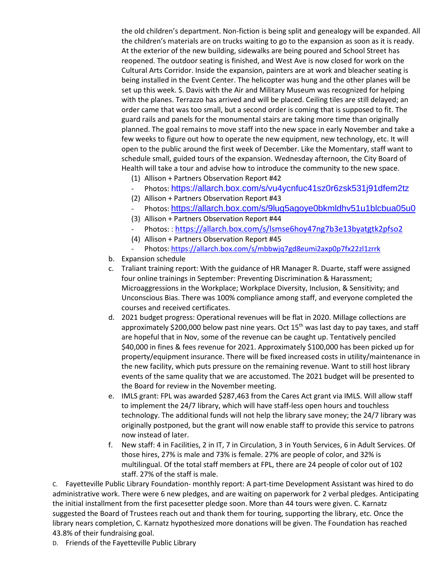the old children's department. Non-fiction is being split and genealogy will be expanded. All the children's materials are on trucks waiting to go to the expansion as soon as it is ready. At the exterior of the new building, sidewalks are being poured and School Street has reopened. The outdoor seating is finished, and West Ave is now closed for work on the Cultural Arts Corridor. Inside the expansion, painters are at work and bleacher seating is being installed in the Event Center. The helicopter was hung and the other planes will be set up this week. S. Davis with the Air and Military Museum was recognized for helping with the planes. Terrazzo has arrived and will be placed. Ceiling tiles are still delayed; an order came that was too small, but a second order is coming that is supposed to fit. The guard rails and panels for the monumental stairs are taking more time than originally planned. The goal remains to move staff into the new space in early November and take a few weeks to figure out how to operate the new equipment, new technology, etc. It will open to the public around the first week of December. Like the Momentary, staff want to schedule small, guided tours of the expansion. Wednesday afternoon, the City Board of Health will take a tour and advise how to introduce the community to the new space.

- (1) Allison + Partners Observation Report #42
- Photos: https://allarch.box.com/s/vu4ycnfuc41sz0r6zsk531j91dfem2tz
- (2) Allison + Partners Observation Report #43
- Photos: <https://allarch.box.com/s/9lug5agoye0bkmldhv51u1blcbua05u0>
- (3) Allison + Partners Observation Report #44
- Photos:: <https://allarch.box.com/s/lsmse6hoy47ng7b3e13byatgtk2pfso2>
- (4) Allison + Partners Observation Report #45
- Photos[: https://allarch.box.com/s/mbbwjq7gd8eumi2axp0p7fx22zl1zrrk](https://allarch.box.com/s/mbbwjq7gd8eumi2axp0p7fx22zl1zrrk)
- b. Expansion schedule
- c. Traliant training report: With the guidance of HR Manager R. Duarte, staff were assigned four online trainings in September: Preventing Discrimination & Harassment; Microaggressions in the Workplace; Workplace Diversity, Inclusion, & Sensitivity; and Unconscious Bias. There was 100% compliance among staff, and everyone completed the courses and received certificates.
- d. 2021 budget progress: Operational revenues will be flat in 2020. Millage collections are approximately \$200,000 below past nine years. Oct 15<sup>th</sup> was last day to pay taxes, and staff are hopeful that in Nov, some of the revenue can be caught up. Tentatively penciled \$40,000 in fines & fees revenue for 2021. Approximately \$100,000 has been picked up for property/equipment insurance. There will be fixed increased costs in utility/maintenance in the new facility, which puts pressure on the remaining revenue. Want to still host library events of the same quality that we are accustomed. The 2021 budget will be presented to the Board for review in the November meeting.
- e. IMLS grant: FPL was awarded \$287,463 from the Cares Act grant via IMLS. Will allow staff to implement the 24/7 library, which will have staff-less open hours and touchless technology. The additional funds will not help the library save money; the 24/7 library was originally postponed, but the grant will now enable staff to provide this service to patrons now instead of later.
- f. New staff: 4 in Facilities, 2 in IT, 7 in Circulation, 3 in Youth Services, 6 in Adult Services. Of those hires, 27% is male and 73% is female. 27% are people of color, and 32% is multilingual. Of the total staff members at FPL, there are 24 people of color out of 102 staff. 27% of the staff is male.

C. Fayetteville Public Library Foundation- monthly report: A part-time Development Assistant was hired to do administrative work. There were 6 new pledges, and are waiting on paperwork for 2 verbal pledges. Anticipating the initial installment from the first pacesetter pledge soon. More than 44 tours were given. C. Karnatz suggested the Board of Trustees reach out and thank them for touring, supporting the library, etc. Once the library nears completion, C. Karnatz hypothesized more donations will be given. The Foundation has reached 43.8% of their fundraising goal.

D. Friends of the Fayetteville Public Library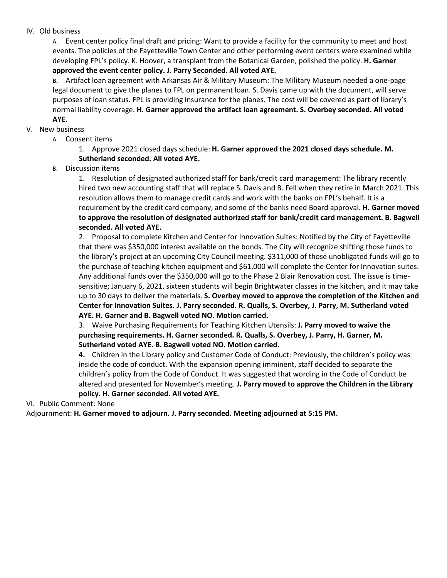#### IV. Old business

A. Event center policy final draft and pricing: Want to provide a facility for the community to meet and host events. The policies of the Fayetteville Town Center and other performing event centers were examined while developing FPL's policy. K. Hoover, a transplant from the Botanical Garden, polished the policy. **H. Garner approved the event center policy. J. Parry Seconded. All voted AYE.**

**B.** Artifact loan agreement with Arkansas Air & Military Museum: The Military Museum needed a one-page legal document to give the planes to FPL on permanent loan. S. Davis came up with the document, will serve purposes of loan status. FPL is providing insurance for the planes. The cost will be covered as part of library's normal liability coverage. **H. Garner approved the artifact loan agreement. S. Overbey seconded. All voted AYE.**

#### V. New business

A. Consent items

1. Approve 2021 closed days schedule: **H. Garner approved the 2021 closed days schedule. M. Sutherland seconded. All voted AYE.**

B. Discussion items

1. Resolution of designated authorized staff for bank/credit card management: The library recently hired two new accounting staff that will replace S. Davis and B. Fell when they retire in March 2021. This resolution allows them to manage credit cards and work with the banks on FPL's behalf. It is a requirement by the credit card company, and some of the banks need Board approval. **H. Garner moved to approve the resolution of designated authorized staff for bank/credit card management. B. Bagwell seconded. All voted AYE.**

2. Proposal to complete Kitchen and Center for Innovation Suites: Notified by the City of Fayetteville that there was \$350,000 interest available on the bonds. The City will recognize shifting those funds to the library's project at an upcoming City Council meeting. \$311,000 of those unobligated funds will go to the purchase of teaching kitchen equipment and \$61,000 will complete the Center for Innovation suites. Any additional funds over the \$350,000 will go to the Phase 2 Blair Renovation cost. The issue is timesensitive; January 6, 2021, sixteen students will begin Brightwater classes in the kitchen, and it may take up to 30 days to deliver the materials. **S. Overbey moved to approve the completion of the Kitchen and Center for Innovation Suites. J. Parry seconded. R. Qualls, S. Overbey, J. Parry, M. Sutherland voted AYE. H. Garner and B. Bagwell voted NO. Motion carried.**

3. Waive Purchasing Requirements for Teaching Kitchen Utensils: **J. Parry moved to waive the purchasing requirements. H. Garner seconded. R. Qualls, S. Overbey, J. Parry, H. Garner, M. Sutherland voted AYE. B. Bagwell voted NO. Motion carried.**

**4.** Children in the Library policy and Customer Code of Conduct: Previously, the children's policy was inside the code of conduct. With the expansion opening imminent, staff decided to separate the children's policy from the Code of Conduct. It was suggested that wording in the Code of Conduct be altered and presented for November's meeting. **J. Parry moved to approve the Children in the Library policy. H. Garner seconded. All voted AYE.**

VI. Public Comment: None

Adjournment: **H. Garner moved to adjourn. J. Parry seconded. Meeting adjourned at 5:15 PM.**